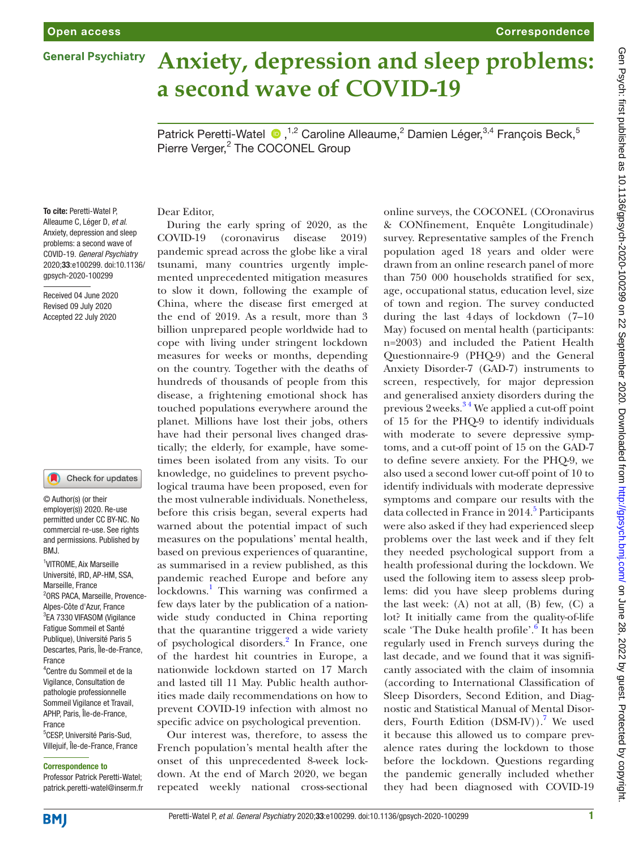# **General Psychiatry**

# **Anxiety, depression and sleep problems: a second wave of COVID-19**

Patrick Peretti-Watel <sup>®</sup>,<sup>1,2</sup> Caroline Alleaume,<sup>2</sup> Damien Léger,<sup>3,4</sup> François Beck,<sup>5</sup> Pierre Verger,<sup>2</sup> The COCONEL Group

To cite: Peretti-Watel P, Alleaume C, Léger D, *et al*. Anxiety, depression and sleep problems: a second wave of COVID-19. *General Psychiatry* 2020;33:e100299. doi:10.1136/ gpsych-2020-100299

Received 04 June 2020 Revised 09 July 2020 Accepted 22 July 2020

#### Check for updates

© Author(s) (or their employer(s)) 2020. Re-use permitted under CC BY-NC. No commercial re-use. See rights and permissions. Published by BMJ.

1 VITROME, Aix Marseille Université, IRD, AP-HM, SSA, Marseille, France 2 ORS PACA, Marseille, Provence-Alpes-Côte d'Azur, France <sup>3</sup>EA 7330 VIFASOM (Vigilance Fatigue Sommeil et Santé Publique), Université Paris 5 Descartes, Paris, Île-de-France, France

4 Centre du Sommeil et de la Vigilance, Consultation de pathologie professionnelle Sommeil Vigilance et Travail, APHP, Paris, Île-de-France, France

5 CESP, Université Paris-Sud, Villejuif, Île-de-France, France

#### Correspondence to

Professor Patrick Peretti-Watel; patrick.peretti-watel@inserm.fr

## Dear Editor,

During the early spring of 2020, as the COVID-19 (coronavirus disease 2019) pandemic spread across the globe like a viral tsunami, many countries urgently implemented unprecedented mitigation measures to slow it down, following the example of China, where the disease first emerged at the end of 2019. As a result, more than 3 billion unprepared people worldwide had to cope with living under stringent lockdown measures for weeks or months, depending on the country. Together with the deaths of hundreds of thousands of people from this disease, a frightening emotional shock has touched populations everywhere around the planet. Millions have lost their jobs, others have had their personal lives changed drastically; the elderly, for example, have sometimes been isolated from any visits. To our knowledge, no guidelines to prevent psychological trauma have been proposed, even for the most vulnerable individuals. Nonetheless, before this crisis began, several experts had warned about the potential impact of such measures on the populations' mental health, based on previous experiences of quarantine, as summarised in a review published, as this pandemic reached Europe and before any lockdowns.<sup>1</sup> This warning was confirmed a few days later by the publication of a nationwide study conducted in China reporting that the quarantine triggered a wide variety of psychological disorders.<sup>[2](#page-3-1)</sup> In France, one of the hardest hit countries in Europe, a nationwide lockdown started on 17 March and lasted till 11 May. Public health authorities made daily recommendations on how to prevent COVID-19 infection with almost no specific advice on psychological prevention.

Our interest was, therefore, to assess the French population's mental health after the onset of this unprecedented 8-week lockdown. At the end of March 2020, we began repeated weekly national cross-sectional

online surveys, the COCONEL (COronavirus & CONfinement, Enquête Longitudinale) survey. Representative samples of the French population aged 18 years and older were drawn from an online research panel of more than 750 000 households stratified for sex, age, occupational status, education level, size of town and region. The survey conducted during the last 4days of lockdown (7–10 May) focused on mental health (participants: n=2003) and included the Patient Health Questionnaire-9 (PHQ-9) and the General Anxiety Disorder-7 (GAD-7) instruments to screen, respectively, for major depression and generalised anxiety disorders during the previous 2weeks.[3 4](#page-3-2) We applied a cut-off point of 15 for the PHQ-9 to identify individuals with moderate to severe depressive symptoms, and a cut-off point of 15 on the GAD-7 to define severe anxiety. For the PHQ-9, we also used a second lower cut-off point of 10 to identify individuals with moderate depressive symptoms and compare our results with the data collected in France in 2014.<sup>[5](#page-3-3)</sup> Participants were also asked if they had experienced sleep problems over the last week and if they felt they needed psychological support from a health professional during the lockdown. We used the following item to assess sleep problems: did you have sleep problems during the last week: (A) not at all, (B) few, (C) a lot? It initially came from the quality-of-life scale 'The Duke health profile'.<sup>[6](#page-3-4)</sup> It has been regularly used in French surveys during the last decade, and we found that it was significantly associated with the claim of insomnia (according to International Classification of Sleep Disorders, Second Edition, and Diagnostic and Statistical Manual of Mental Disorders, Fourth Edition  $(DSM-IV)$ .<sup>7</sup> We used it because this allowed us to compare prevalence rates during the lockdown to those before the lockdown. Questions regarding the pandemic generally included whether they had been diagnosed with COVID-19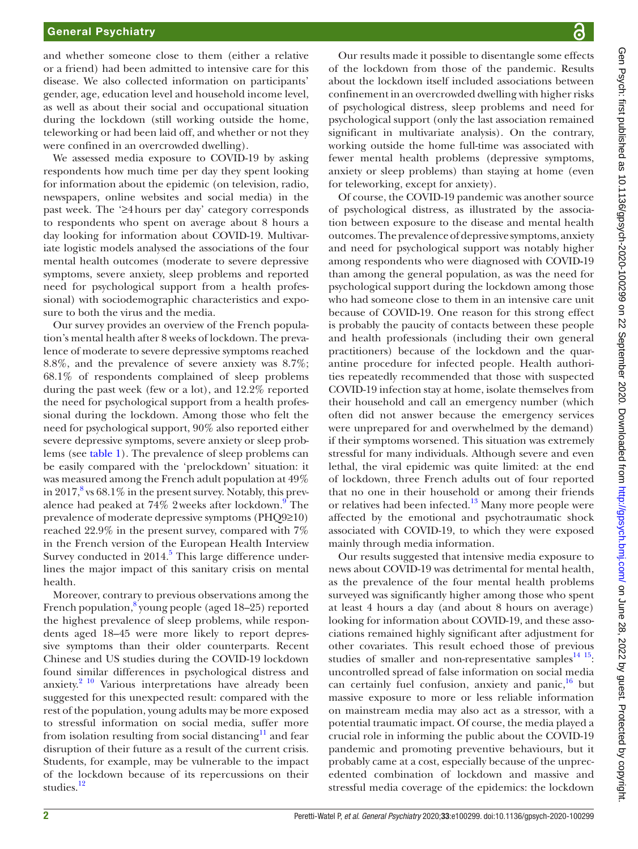## General Psychiatry

and whether someone close to them (either a relative or a friend) had been admitted to intensive care for this disease. We also collected information on participants' gender, age, education level and household income level, as well as about their social and occupational situation during the lockdown (still working outside the home, teleworking or had been laid off, and whether or not they were confined in an overcrowded dwelling).

We assessed media exposure to COVID-19 by asking respondents how much time per day they spent looking for information about the epidemic (on television, radio, newspapers, online websites and social media) in the past week. The '≥4hours per day' category corresponds to respondents who spent on average about 8 hours a day looking for information about COVID-19. Multivariate logistic models analysed the associations of the four mental health outcomes (moderate to severe depressive symptoms, severe anxiety, sleep problems and reported need for psychological support from a health professional) with sociodemographic characteristics and exposure to both the virus and the media.

Our survey provides an overview of the French population's mental health after 8 weeks of lockdown. The prevalence of moderate to severe depressive symptoms reached 8.8%, and the prevalence of severe anxiety was 8.7%; 68.1% of respondents complained of sleep problems during the past week (few or a lot), and 12.2% reported the need for psychological support from a health professional during the lockdown. Among those who felt the need for psychological support, 90% also reported either severe depressive symptoms, severe anxiety or sleep problems (see [table](#page-2-0) 1). The prevalence of sleep problems can be easily compared with the 'prelockdown' situation: it was measured among the French adult population at 49% in 2017, $8$  vs 68.1% in the present survey. Notably, this prevalence had peaked at  $74\%$  2 weeks after lockdown.<sup>[9](#page-3-7)</sup> The prevalence of moderate depressive symptoms (PHQ9≥10) reached 22.9% in the present survey, compared with 7% in the French version of the European Health Interview Survey conducted in 2014.<sup>[5](#page-3-3)</sup> This large difference underlines the major impact of this sanitary crisis on mental health.

Moreover, contrary to previous observations among the French population,<sup>8</sup> young people (aged 18-25) reported the highest prevalence of sleep problems, while respondents aged 18–45 were more likely to report depressive symptoms than their older counterparts. Recent Chinese and US studies during the COVID-19 lockdown found similar differences in psychological distress and anxiety. $2^{10}$  Various interpretations have already been suggested for this unexpected result: compared with the rest of the population, young adults may be more exposed to stressful information on social media, suffer more from isolation resulting from social distancing<sup>11</sup> and fear disruption of their future as a result of the current crisis. Students, for example, may be vulnerable to the impact of the lockdown because of its repercussions on their studies.<sup>[12](#page-3-9)</sup>

Our results made it possible to disentangle some effects of the lockdown from those of the pandemic. Results about the lockdown itself included associations between confinement in an overcrowded dwelling with higher risks of psychological distress, sleep problems and need for psychological support (only the last association remained significant in multivariate analysis). On the contrary, working outside the home full-time was associated with fewer mental health problems (depressive symptoms, anxiety or sleep problems) than staying at home (even for teleworking, except for anxiety).

Of course, the COVID-19 pandemic was another source of psychological distress, as illustrated by the association between exposure to the disease and mental health outcomes. The prevalence of depressive symptoms, anxiety and need for psychological support was notably higher among respondents who were diagnosed with COVID**-**19 than among the general population, as was the need for psychological support during the lockdown among those who had someone close to them in an intensive care unit because of COVID**-**19. One reason for this strong effect is probably the paucity of contacts between these people and health professionals (including their own general practitioners) because of the lockdown and the quarantine procedure for infected people. Health authorities repeatedly recommended that those with suspected COVID-19 infection stay at home, isolate themselves from their household and call an emergency number (which often did not answer because the emergency services were unprepared for and overwhelmed by the demand) if their symptoms worsened. This situation was extremely stressful for many individuals. Although severe and even lethal, the viral epidemic was quite limited: at the end of lockdown, three French adults out of four reported that no one in their household or among their friends or relatives had been infected. $13$  Many more people were affected by the emotional and psychotraumatic shock associated with COVID-19, to which they were exposed mainly through media information.

Our results suggested that intensive media exposure to news about COVID-19 was detrimental for mental health, as the prevalence of the four mental health problems surveyed was significantly higher among those who spent at least 4 hours a day (and about 8 hours on average) looking for information about COVID-19, and these associations remained highly significant after adjustment for other covariates. This result echoed those of previous studies of smaller and non-representative samples $^{14}$  15: uncontrolled spread of false information on social media can certainly fuel confusion, anxiety and panic, $16$  but massive exposure to more or less reliable information on mainstream media may also act as a stressor, with a potential traumatic impact. Of course, the media played a crucial role in informing the public about the COVID-19 pandemic and promoting preventive behaviours, but it probably came at a cost, especially because of the unprecedented combination of lockdown and massive and stressful media coverage of the epidemics: the lockdown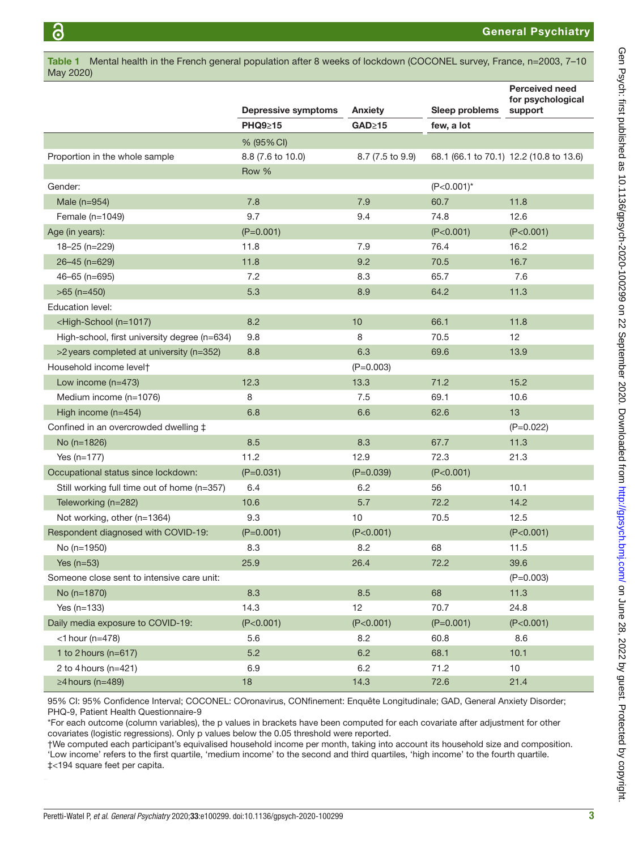May 2020)

General Psychiatry

|                                                                                                | <b>Depressive symptoms</b> | Anxiety          | Sleep problems | <b>Perceived need</b><br>for psychological |
|------------------------------------------------------------------------------------------------|----------------------------|------------------|----------------|--------------------------------------------|
|                                                                                                | <b>PHQ9≥15</b>             | GAD≥15           | few, a lot     | support                                    |
|                                                                                                | % (95% CI)                 |                  |                |                                            |
| Proportion in the whole sample                                                                 | 8.8 (7.6 to 10.0)          | 8.7 (7.5 to 9.9) |                | 68.1 (66.1 to 70.1) 12.2 (10.8 to 13.6)    |
|                                                                                                | Row %                      |                  |                |                                            |
| Gender:                                                                                        |                            |                  | $(P<0.001)^*$  |                                            |
| Male $(n=954)$                                                                                 | 7.8                        | 7.9              | 60.7           | 11.8                                       |
| Female $(n=1049)$                                                                              | 9.7                        | 9.4              | 74.8           | 12.6                                       |
| Age (in years):                                                                                | $(P=0.001)$                |                  | (P<0.001)      | (P<0.001)                                  |
| 18-25 (n=229)                                                                                  | 11.8                       | 7.9              | 76.4           | 16.2                                       |
| 26-45 (n=629)                                                                                  | 11.8                       | 9.2              | 70.5           | 16.7                                       |
| $46 - 65$ (n=695)                                                                              | 7.2                        | 8.3              | 65.7           | 7.6                                        |
| $>65$ (n=450)                                                                                  | 5.3                        | 8.9              | 64.2           | 11.3                                       |
| <b>Education level:</b>                                                                        |                            |                  |                |                                            |
| <high-school (n="1017)&lt;/td"><td>8.2</td><td>10</td><td>66.1</td><td>11.8</td></high-school> | 8.2                        | 10               | 66.1           | 11.8                                       |
| High-school, first university degree (n=634)                                                   | 9.8                        | 8                | 70.5           | 12                                         |
| >2 years completed at university (n=352)                                                       | 8.8                        | 6.3              | 69.6           | 13.9                                       |
| Household income levelt                                                                        |                            | $(P=0.003)$      |                |                                            |
| Low income $(n=473)$                                                                           | 12.3                       | 13.3             | 71.2           | 15.2                                       |
| Medium income (n=1076)                                                                         | 8                          | 7.5              | 69.1           | 10.6                                       |
| High income (n=454)                                                                            | 6.8                        | 6.6              | 62.6           | 13                                         |
| Confined in an overcrowded dwelling $\ddagger$                                                 |                            |                  |                | $(P=0.022)$                                |
| No (n=1826)                                                                                    | 8.5                        | 8.3              | 67.7           | 11.3                                       |
| Yes $(n=177)$                                                                                  | 11.2                       | 12.9             | 72.3           | 21.3                                       |
| Occupational status since lockdown:                                                            | $(P=0.031)$                | $(P=0.039)$      | (P<0.001)      |                                            |
| Still working full time out of home (n=357)                                                    | 6.4                        | 6.2              | 56             | 10.1                                       |
| Teleworking (n=282)                                                                            | 10.6                       | 5.7              | 72.2           | 14.2                                       |
| Not working, other (n=1364)                                                                    | 9.3                        | 10               | 70.5           | 12.5                                       |
| Respondent diagnosed with COVID-19:                                                            | $(P=0.001)$                | (P<0.001)        |                | (P<0.001)                                  |
| No (n=1950)                                                                                    | 8.3                        | 8.2              | 68             | 11.5                                       |
| Yes $(n=53)$                                                                                   | 25.9                       | 26.4             | 72.2           | 39.6                                       |
| Someone close sent to intensive care unit:                                                     |                            |                  |                | $(P=0.003)$                                |
| No (n=1870)                                                                                    | 8.3                        | 8.5              | 68             | 11.3                                       |
| Yes $(n=133)$                                                                                  | 14.3                       | 12               | 70.7           | 24.8                                       |
| Daily media exposure to COVID-19:                                                              | (P<0.001)                  | (P<0.001)        | $(P=0.001)$    | (P<0.001)                                  |
| $<$ 1 hour (n=478)                                                                             | 5.6                        | 8.2              | 60.8           | 8.6                                        |
| 1 to 2 hours ( $n=617$ )                                                                       | 5.2                        | 6.2              | 68.1           | 10.1                                       |
| 2 to 4 hours ( $n=421$ )                                                                       | 6.9                        | 6.2              | 71.2           | 10                                         |
| $\geq$ 4 hours (n=489)                                                                         | 18                         | 14.3             | 72.6           | 21.4                                       |

<span id="page-2-0"></span>Table 1 Mental health in the French general population after 8 weeks of lockdown (COCONEL survey, France, n=2003, 7–10

95% CI: 95% Confidence Interval; COCONEL: COronavirus, CONfinement: Enquête Longitudinale; GAD, General Anxiety Disorder; PHQ-9, Patient Health Questionnaire-9

\*For each outcome (column variables), the p values in brackets have been computed for each covariate after adjustment for other covariates (logistic regressions). Only p values below the 0.05 threshold were reported.

†We computed each participant's equivalised household income per month, taking into account its household size and composition. 'Low income' refers to the first quartile, 'medium income' to the second and third quartiles, 'high income' to the fourth quartile. ‡<194 square feet per capita.